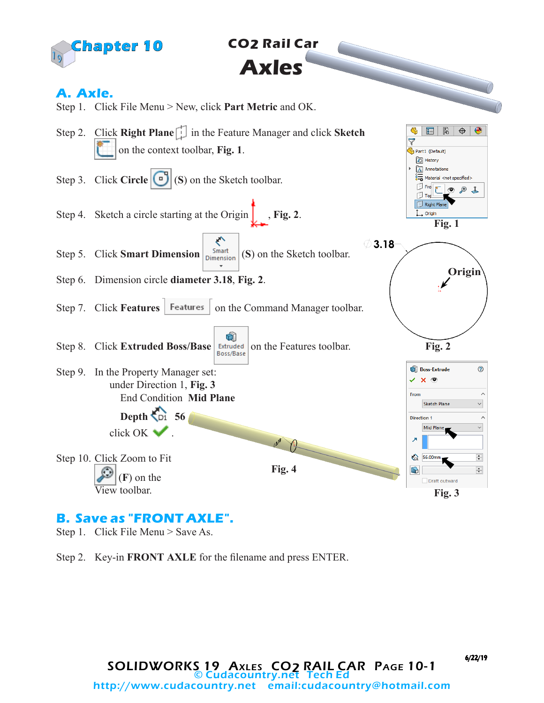

 **CO2 Rail Car Axles**

## **A. Axle.**



## **B. Save as "FRONT AXLE".**

Step 1. Click File Menu > Save As.

Step 2. Key-in **FRONT AXLE** for the filename and press ENTER.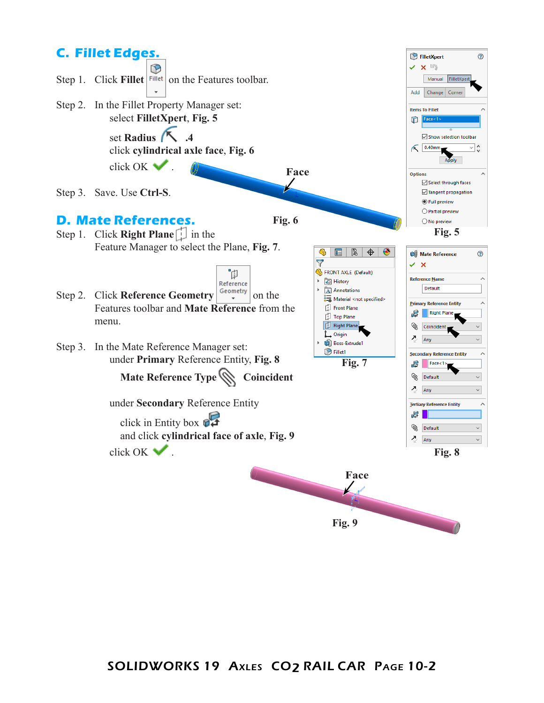